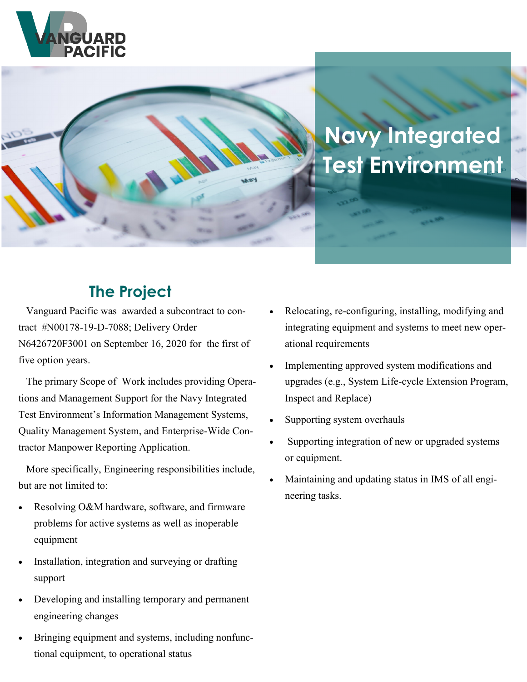



# **Navy Integrated Test Environment**

# **The Project**

 Vanguard Pacific was awarded a subcontract to contract #N00178-19-D-7088; Delivery Order N6426720F3001 on September 16, 2020 for the first of five option years.

 The primary Scope of Work includes providing Operations and Management Support for the Navy Integrated Test Environment's Information Management Systems, Quality Management System, and Enterprise-Wide Contractor Manpower Reporting Application.

 More specifically, Engineering responsibilities include, but are not limited to:

- Resolving O&M hardware, software, and firmware problems for active systems as well as inoperable equipment
- Installation, integration and surveying or drafting support
- Developing and installing temporary and permanent engineering changes
- Bringing equipment and systems, including nonfunctional equipment, to operational status
- Relocating, re-configuring, installing, modifying and integrating equipment and systems to meet new operational requirements
- Implementing approved system modifications and upgrades (e.g., System Life-cycle Extension Program, Inspect and Replace)
- Supporting system overhauls
- Supporting integration of new or upgraded systems or equipment.
- Maintaining and updating status in IMS of all engineering tasks.